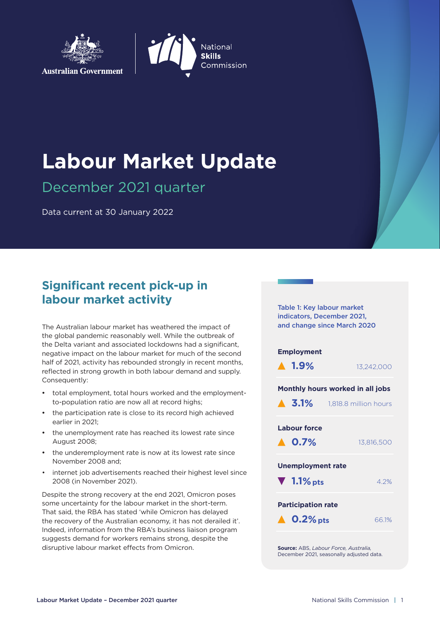



# **Labour Market Update**

December 2021 quarter

Data current at 30 January 2022

# **Significant recent pick-up in labour market activity**

The Australian labour market has weathered the impact of the global pandemic reasonably well. While the outbreak of the Delta variant and associated lockdowns had a significant, negative impact on the labour market for much of the second half of 2021, activity has rebounded strongly in recent months, reflected in strong growth in both labour demand and supply. Consequently:

- total employment, total hours worked and the employmentto-population ratio are now all at record highs;
- the participation rate is close to its record high achieved earlier in 2021;
- the unemployment rate has reached its lowest rate since August 2008;
- the underemployment rate is now at its lowest rate since November 2008 and;
- internet job advertisements reached their highest level since 2008 (in November 2021).

Despite the strong recovery at the end 2021, Omicron poses some uncertainty for the labour market in the short-term. That said, the RBA has stated 'while Omicron has delayed the recovery of the Australian economy, it has not derailed it'. Indeed, information from the RBA's business liaison program suggests demand for workers remains strong, despite the disruptive labour market effects from Omicron.

Table 1: Key labour market indicators, December 2021, and change since March 2020

#### **Employment**



#### **Monthly hours worked in all jobs**

| $\triangle$ 3.1%                                          | 1,818.8 million hours |  |  |  |  |
|-----------------------------------------------------------|-----------------------|--|--|--|--|
| Labour force<br>$\blacktriangle$ 0.7%                     | 13.816.500            |  |  |  |  |
| <b>Unemployment rate</b><br>$\blacktriangledown$ 1.1% pts | 4.2%                  |  |  |  |  |
| <b>Participation rate</b><br>$\triangle$ 0.2% pts         | 66.1%                 |  |  |  |  |
|                                                           |                       |  |  |  |  |

**Source:** ABS, *Labour Force, Australia,* December 2021, seasonally adjusted data.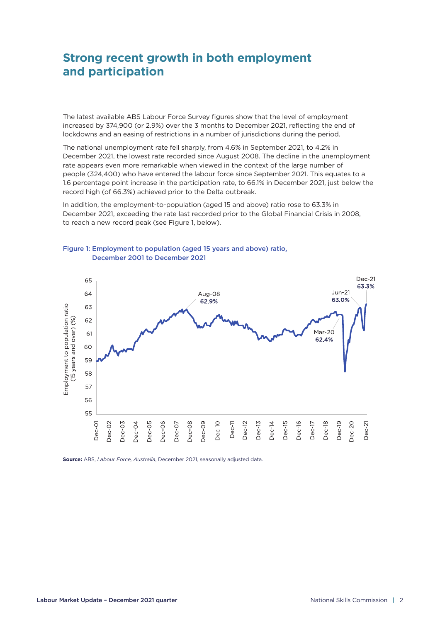# **Strong recent growth in both employment and participation**

The latest available ABS Labour Force Survey figures show that the level of employment increased by 374,900 (or 2.9%) over the 3 months to December 2021, reflecting the end of lockdowns and an easing of restrictions in a number of jurisdictions during the period.

The national unemployment rate fell sharply, from 4.6% in September 2021, to 4.2% in December 2021, the lowest rate recorded since August 2008. The decline in the unemployment rate appears even more remarkable when viewed in the context of the large number of people (324,400) who have entered the labour force since September 2021. This equates to a 1.6 percentage point increase in the participation rate, to 66.1% in December 2021, just below the record high (of 66.3%) achieved prior to the Delta outbreak.

In addition, the employment-to-population (aged 15 and above) ratio rose to 63.3% in December 2021, exceeding the rate last recorded prior to the Global Financial Crisis in 2008, to reach a new record peak (see Figure 1, below).



Figure 1: Employment to population (aged 15 years and above) ratio, December 2001 to December 2021

**Source:** ABS, *Labour Force, Australia*, December 2021, seasonally adjusted data.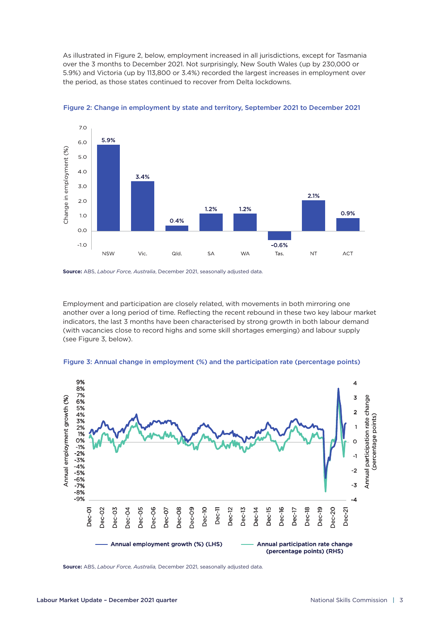As illustrated in Figure 2, below, employment increased in all jurisdictions, except for Tasmania over the 3 months to December 2021. Not surprisingly, New South Wales (up by 230,000 or 5.9%) and Victoria (up by 113,800 or 3.4%) recorded the largest increases in employment over the period, as those states continued to recover from Delta lockdowns.



Figure 2: Change in employment by state and territory, September 2021 to December 2021

**Source:** ABS, *Labour Force, Australia*, December 2021, seasonally adjusted data.

Employment and participation are closely related, with movements in both mirroring one another over a long period of time. Reflecting the recent rebound in these two key labour market indicators, the last 3 months have been characterised by strong growth in both labour demand (with vacancies close to record highs and some skill shortages emerging) and labour supply (see Figure 3, below).





**Source:** ABS, *Labour Force, Australia,* December 2021, seasonally adjusted data.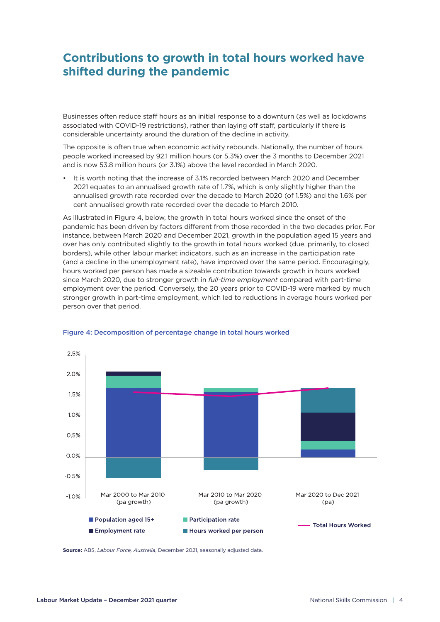# **Contributions to growth in total hours worked have shifted during the pandemic**

Businesses often reduce staff hours as an initial response to a downturn (as well as lockdowns associated with COVID-19 restrictions), rather than laying off staff, particularly if there is considerable uncertainty around the duration of the decline in activity.

The opposite is often true when economic activity rebounds. Nationally, the number of hours people worked increased by 92.1 million hours (or 5.3%) over the 3 months to December 2021 and is now 53.8 million hours (or 3.1%) above the level recorded in March 2020.

It is worth noting that the increase of 3.1% recorded between March 2020 and December 2021 equates to an annualised growth rate of 1.7%, which is only slightly higher than the annualised growth rate recorded over the decade to March 2020 (of 1.5%) and the 1.6% per cent annualised growth rate recorded over the decade to March 2010.

As illustrated in Figure 4, below, the growth in total hours worked since the onset of the pandemic has been driven by factors different from those recorded in the two decades prior. For instance, between March 2020 and December 2021, growth in the population aged 15 years and over has only contributed slightly to the growth in total hours worked (due, primarily, to closed borders), while other labour market indicators, such as an increase in the participation rate (and a decline in the unemployment rate), have improved over the same period. Encouragingly, hours worked per person has made a sizeable contribution towards growth in hours worked since March 2020, due to stronger growth in *full-time employment* compared with part-time employment over the period. Conversely, the 20 years prior to COVID-19 were marked by much stronger growth in part-time employment, which led to reductions in average hours worked per person over that period.



#### Figure 4: Decomposition of percentage change in total hours worked

**Source:** ABS, *Labour Force, Australia*, December 2021, seasonally adjusted data.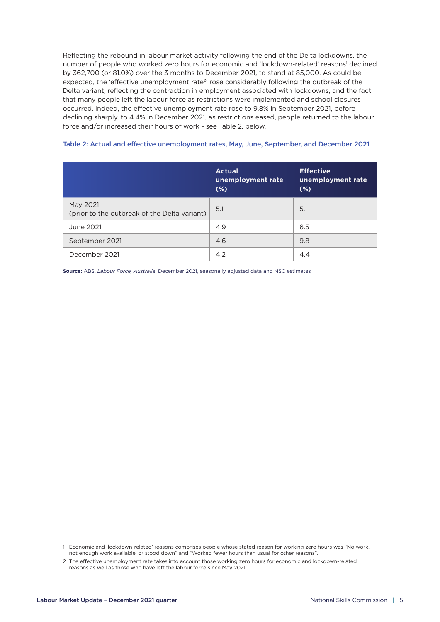Reflecting the rebound in labour market activity following the end of the Delta lockdowns, the number of people who worked zero hours for economic and 'lockdown-related' reasons<sup>1</sup> declined by 362,700 (or 81.0%) over the 3 months to December 2021, to stand at 85,000. As could be expected, the 'effective unemployment rate<sup>2</sup>' rose considerably following the outbreak of the Delta variant, reflecting the contraction in employment associated with lockdowns, and the fact that many people left the labour force as restrictions were implemented and school closures occurred. Indeed, the effective unemployment rate rose to 9.8% in September 2021, before declining sharply, to 4.4% in December 2021, as restrictions eased, people returned to the labour force and/or increased their hours of work - see Table 2, below.

|                                                          | <b>Actual</b><br>unemployment rate<br>$(*)$ | <b>Effective</b><br>unemployment rate<br>$(\%)$ |  |
|----------------------------------------------------------|---------------------------------------------|-------------------------------------------------|--|
| May 2021<br>(prior to the outbreak of the Delta variant) | 5.1                                         | 5.1                                             |  |
| June 2021                                                | 4.9                                         | 6.5                                             |  |
| September 2021                                           | 4.6                                         | 9.8                                             |  |
| December 2021                                            | 4.2                                         | 4.4                                             |  |

#### Table 2: Actual and effective unemployment rates, May, June, September, and December 2021

**Source:** ABS, *Labour Force, Australia*, December 2021, seasonally adjusted data and NSC estimates

<span id="page-4-0"></span>1 Economic and 'lockdown-related' reasons comprises people whose stated reason for working zero hours was "No work, not enough work available, or stood down" and "Worked fewer hours than usual for other reasons".

<span id="page-4-1"></span><sup>2</sup> The effective unemployment rate takes into account those working zero hours for economic and lockdown-related reasons as well as those who have left the labour force since May 2021.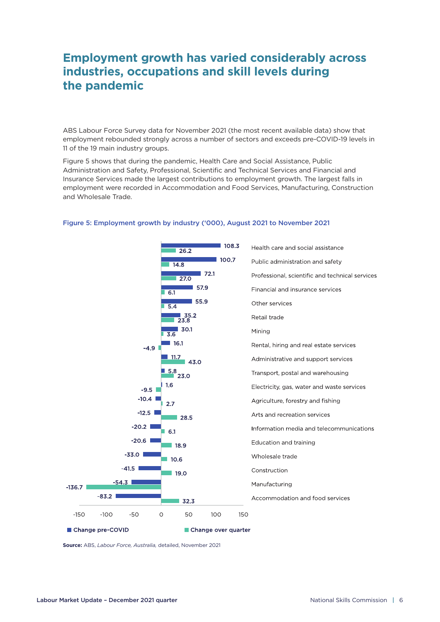# **Employment growth has varied considerably across industries, occupations and skill levels during the pandemic**

ABS Labour Force Survey data for November 2021 (the most recent available data) show that employment rebounded strongly across a number of sectors and exceeds pre-COVID-19 levels in 11 of the 19 main industry groups.

Figure 5 shows that during the pandemic, Health Care and Social Assistance, Public Administration and Safety, Professional, Scientific and Technical Services and Financial and Insurance Services made the largest contributions to employment growth. The largest falls in employment were recorded in Accommodation and Food Services, Manufacturing, Construction and Wholesale Trade.



#### Figure 5: Employment growth by industry ('000), August 2021 to November 2021

**Source:** ABS, *Labour Force, Australia,* detailed, November 2021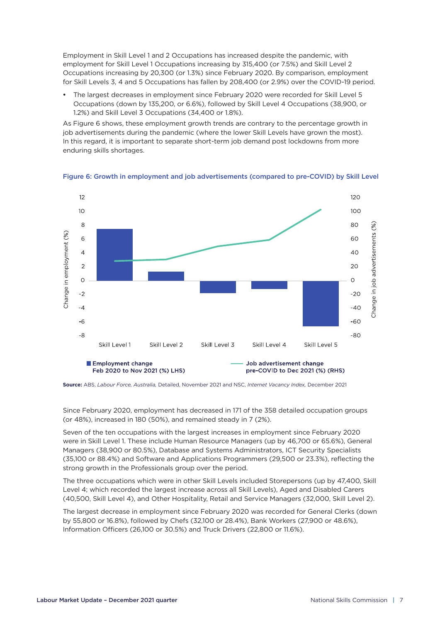Employment in Skill Level 1 and 2 Occupations has increased despite the pandemic, with employment for Skill Level 1 Occupations increasing by 315,400 (or 7.5%) and Skill Level 2 Occupations increasing by 20,300 (or 1.3%) since February 2020. By comparison, employment for Skill Levels 3, 4 and 5 Occupations has fallen by 208,400 (or 2.9%) over the COVID-19 period.

The largest decreases in employment since February 2020 were recorded for Skill Level 5 Occupations (down by 135,200, or 6.6%), followed by Skill Level 4 Occupations (38,900, or 1.2%) and Skill Level 3 Occupations (34,400 or 1.8%).

As Figure 6 shows, these employment growth trends are contrary to the percentage growth in job advertisements during the pandemic (where the lower Skill Levels have grown the most). In this regard, it is important to separate short-term job demand post lockdowns from more enduring skills shortages.





**Source:** ABS, *Labour Force, Australia,* Detailed, November 2021 and NSC, *Internet Vacancy Index,* December 2021

Since February 2020, employment has decreased in 171 of the 358 detailed occupation groups (or 48%), increased in 180 (50%), and remained steady in 7 (2%).

Seven of the ten occupations with the largest increases in employment since February 2020 were in Skill Level 1. These include Human Resource Managers (up by 46,700 or 65.6%), General Managers (38,900 or 80.5%), Database and Systems Administrators, ICT Security Specialists (35,100 or 88.4%) and Software and Applications Programmers (29,500 or 23.3%), reflecting the strong growth in the Professionals group over the period.

The three occupations which were in other Skill Levels included Storepersons (up by 47,400, Skill Level 4; which recorded the largest increase across all Skill Levels), Aged and Disabled Carers (40,500, Skill Level 4), and Other Hospitality, Retail and Service Managers (32,000, Skill Level 2).

The largest decrease in employment since February 2020 was recorded for General Clerks (down by 55,800 or 16.8%), followed by Chefs (32,100 or 28.4%), Bank Workers (27,900 or 48.6%), Information Officers (26,100 or 30.5%) and Truck Drivers (22,800 or 11.6%).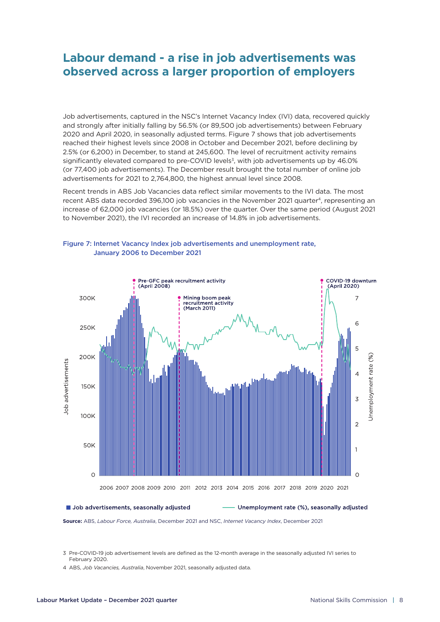### **Labour demand - a rise in job advertisements was observed across a larger proportion of employers**

Job advertisements, captured in the NSC's Internet Vacancy Index (IVI) data, recovered quickly and strongly after initially falling by 56.5% (or 89,500 job advertisements) between February 2020 and April 2020, in seasonally adjusted terms. Figure 7 shows that job advertisements reached their highest levels since 2008 in October and December 2021, before declining by 2.5% (or 6,200) in December, to stand at 245,600. The level of recruitment activity remains significantly elevated compared to pre-COVID levels<sup>3</sup>, with job advertisements up by 46.0% (or 77,400 job advertisements). The December result brought the total number of online job advertisements for 2021 to 2,764,800, the highest annual level since 2008.

Recent trends in ABS Job Vacancies data reflect similar movements to the IVI data. The most recent ABS data recorded 396,100 job vacancies in the November 2021 quarter<sup>[4](#page-7-1)</sup>, representing an increase of 62,000 job vacancies (or 18.5%) over the quarter. Over the same period (August 2021 to November 2021), the IVI recorded an increase of 14.8% in job advertisements.



#### Figure 7: Internet Vacancy Index job advertisements and unemployment rate, January 2006 to December 2021

**Source:** ABS, *Labour Force, Australia*, December 2021 and NSC, *Internet Vacancy Index*, December 2021

<span id="page-7-0"></span>3 Pre-COVID-19 job advertisement levels are defined as the 12-month average in the seasonally adjusted IVI series to February 2020.

<span id="page-7-1"></span>4 ABS, *Job Vacancies, Australia*, November 2021, seasonally adjusted data.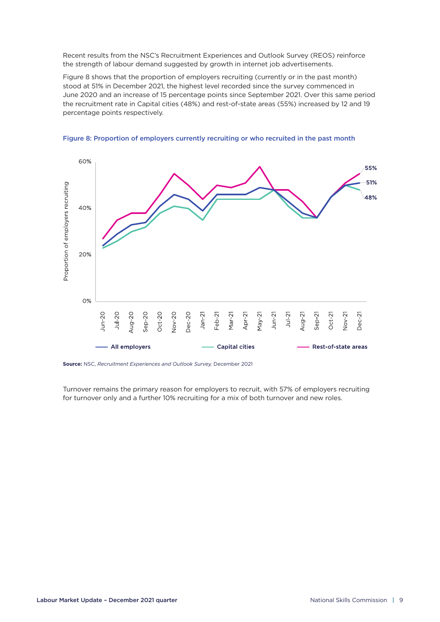Recent results from the NSC's Recruitment Experiences and Outlook Survey (REOS) reinforce the strength of labour demand suggested by growth in internet job advertisements.

Figure 8 shows that the proportion of employers recruiting (currently or in the past month) stood at 51% in December 2021, the highest level recorded since the survey commenced in June 2020 and an increase of 15 percentage points since September 2021. Over this same period the recruitment rate in Capital cities (48%) and rest-of-state areas (55%) increased by 12 and 19 percentage points respectively.





**Source:** NSC, *Recruitment Experiences and Outlook Survey,* December 2021

Turnover remains the primary reason for employers to recruit, with 57% of employers recruiting for turnover only and a further 10% recruiting for a mix of both turnover and new roles.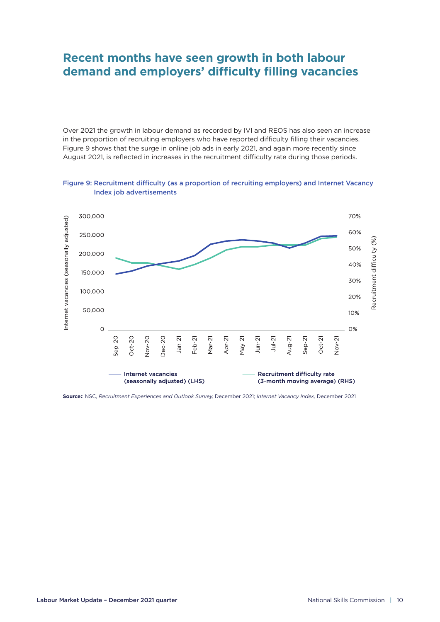### **Recent months have seen growth in both labour demand and employers' difficulty filling vacancies**

Over 2021 the growth in labour demand as recorded by IVI and REOS has also seen an increase in the proportion of recruiting employers who have reported difficulty filling their vacancies. Figure 9 shows that the surge in online job ads in early 2021, and again more recently since August 2021, is reflected in increases in the recruitment difficulty rate during those periods.





**Source:**: NSC, *Recruitment Experiences and Outlook Survey,* December 2021; *Internet Vacancy Index,* December 2021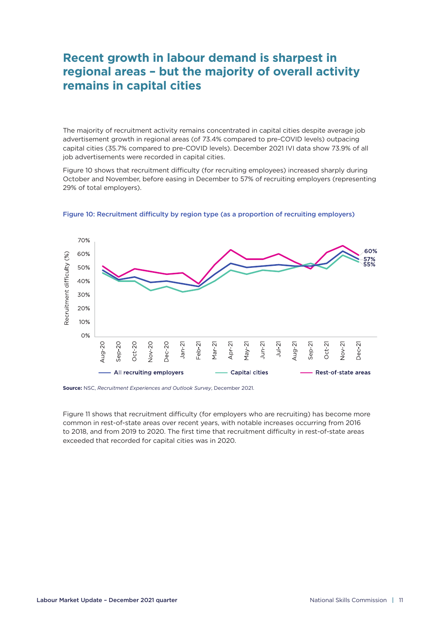# **Recent growth in labour demand is sharpest in regional areas – but the majority of overall activity remains in capital cities**

The majority of recruitment activity remains concentrated in capital cities despite average job advertisement growth in regional areas (of 73.4% compared to pre-COVID levels) outpacing capital cities (35.7% compared to pre-COVID levels). December 2021 IVI data show 73.9% of all job advertisements were recorded in capital cities.

Figure 10 shows that recruitment difficulty (for recruiting employees) increased sharply during October and November, before easing in December to 57% of recruiting employers (representing 29% of total employers).



Figure 10: Recruitment difficulty by region type (as a proportion of recruiting employers)

**Source:** NSC, *Recruitment Experiences and Outlook Survey*, December 2021.

Figure 11 shows that recruitment difficulty (for employers who are recruiting) has become more common in rest-of-state areas over recent years, with notable increases occurring from 2016 to 2018, and from 2019 to 2020. The first time that recruitment difficulty in rest-of-state areas exceeded that recorded for capital cities was in 2020.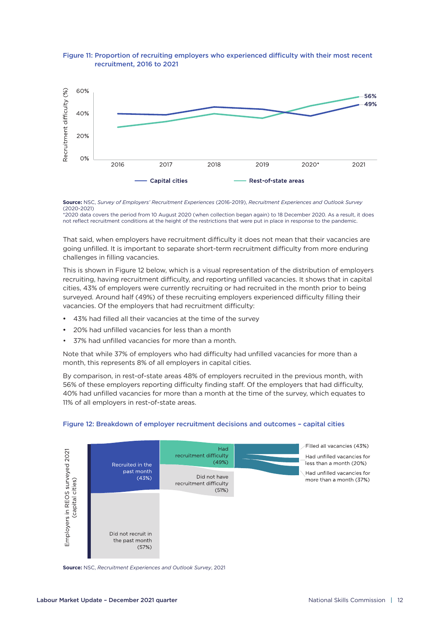

#### Figure 11: Proportion of recruiting employers who experienced difficulty with their most recent recruitment, 2016 to 2021

**Source:** NSC, *Survey of Employers' Recruitment Experiences* (2016-2019), *Recruitment Experiences and Outlook Survey* (2020-2021)

\*2020 data covers the period from 10 August 2020 (when collection began again) to 18 December 2020. As a result, it does not reflect recruitment conditions at the height of the restrictions that were put in place in response to the pandemic.

That said, when employers have recruitment difficulty it does not mean that their vacancies are going unfilled. It is important to separate short-term recruitment difficulty from more enduring challenges in filling vacancies.

This is shown in Figure 12 below, which is a visual representation of the distribution of employers recruiting, having recruitment difficulty, and reporting unfilled vacancies. It shows that in capital cities, 43% of employers were currently recruiting or had recruited in the month prior to being surveyed. Around half (49%) of these recruiting employers experienced difficulty filling their vacancies. Of the employers that had recruitment difficulty:

- 43% had filled all their vacancies at the time of the survey
- 20% had unfilled vacancies for less than a month
- 37% had unfilled vacancies for more than a month.

Note that while 37% of employers who had difficulty had unfilled vacancies for more than a month, this represents 8% of all employers in capital cities.

By comparison, in rest-of-state areas 48% of employers recruited in the previous month, with 56% of these employers reporting difficulty finding staff. Of the employers that had difficulty, 40% had unfilled vacancies for more than a month at the time of the survey, which equates to 11% of all employers in rest-of-state areas.



#### Figure 12: Breakdown of employer recruitment decisions and outcomes – capital cities

**Source:** NSC, *Recruitment Experiences and Outlook Survey*, 2021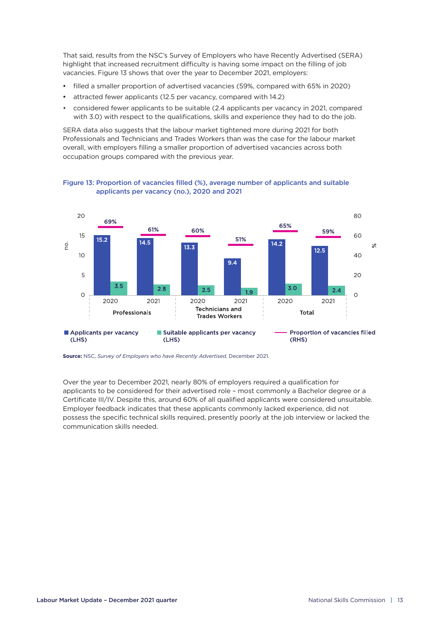That said, results from the NSC's Survey of Employers who have Recently Advertised (SERA) highlight that increased recruitment difficulty is having some impact on the filling of job vacancies. Figure 13 shows that over the year to December 2021, employers:

- filled a smaller proportion of advertised vacancies (59%, compared with 65% in 2020)
- attracted fewer applicants (12.5 per vacancy, compared with 14.2)
- considered fewer applicants to be suitable (2.4 applicants per vacancy in 2021, compared with 3.0) with respect to the qualifications, skills and experience they had to do the job.

SERA data also suggests that the labour market tightened more during 2021 for both Professionals and Technicians and Trades Workers than was the case for the labour market overall, with employers filling a smaller proportion of advertised vacancies across both occupation groups compared with the previous year.

Figure 13: Proportion of vacancies filled (%), average number of applicants and suitable applicants per vacancy (no.), 2020 and 2021



**Source:** NSC, *Survey of Employers who have Recently Advertised*, December 2021.

Over the year to December 2021, nearly 80% of employers required a qualification for applicants to be considered for their advertised role – most commonly a Bachelor degree or a Certificate III/IV. Despite this, around 60% of all qualified applicants were considered unsuitable. Employer feedback indicates that these applicants commonly lacked experience, did not possess the specific technical skills required, presently poorly at the job interview or lacked the communication skills needed.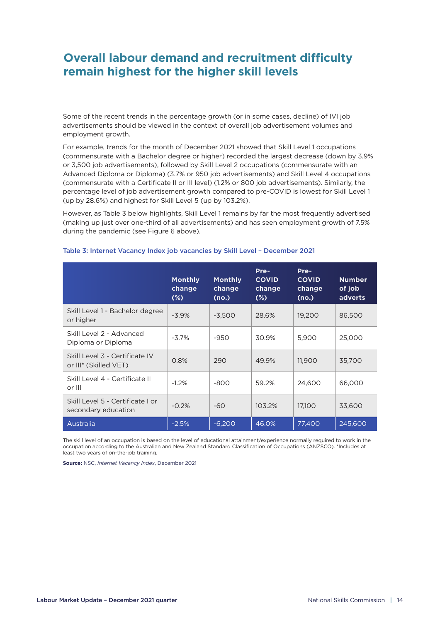# **Overall labour demand and recruitment difficulty remain highest for the higher skill levels**

Some of the recent trends in the percentage growth (or in some cases, decline) of IVI job advertisements should be viewed in the context of overall job advertisement volumes and employment growth.

For example, trends for the month of December 2021 showed that Skill Level 1 occupations (commensurate with a Bachelor degree or higher) recorded the largest decrease (down by 3.9% or 3,500 job advertisements), followed by Skill Level 2 occupations (commensurate with an Advanced Diploma or Diploma) (3.7% or 950 job advertisements) and Skill Level 4 occupations (commensurate with a Certificate II or III level) (1.2% or 800 job advertisements). Similarly, the percentage level of job advertisement growth compared to pre-COVID is lowest for Skill Level 1 (up by 28.6%) and highest for Skill Level 5 (up by 103.2%).

However, as Table 3 below highlights, Skill Level 1 remains by far the most frequently advertised (making up just over one-third of all advertisements) and has seen employment growth of 7.5% during the pandemic (see Figure 6 above).

|                                                         | <b>Monthly</b><br>change<br>$(\%)$ | <b>Monthly</b><br>change<br>(no.) | Pre-<br><b>COVID</b><br>change<br>$(\%)$ | Pre-<br><b>COVID</b><br>change<br>(no.) | <b>Number</b><br>of job<br><b>adverts</b> |
|---------------------------------------------------------|------------------------------------|-----------------------------------|------------------------------------------|-----------------------------------------|-------------------------------------------|
| Skill Level 1 - Bachelor degree<br>or higher            | $-3.9%$                            | $-3.500$                          | 28.6%                                    | 19,200                                  | 86,500                                    |
| Skill Level 2 - Advanced<br>Diploma or Diploma          | $-3.7\%$                           | -950                              | 30.9%                                    | 5,900                                   | 25,000                                    |
| Skill Level 3 - Certificate IV<br>or III* (Skilled VET) | 0.8%                               | 290                               | 49.9%                                    | 11,900                                  | 35,700                                    |
| Skill Level 4 - Certificate II<br>or III                | $-1.2%$                            | -800                              | 59.2%                                    | 24,600                                  | 66,000                                    |
| Skill Level 5 - Certificate I or<br>secondary education | $-0.2%$                            | $-60$                             | 103.2%                                   | 17,100                                  | 33,600                                    |
| Australia                                               | $-2.5%$                            | $-6,200$                          | 46.0%                                    | 77,400                                  | 245,600                                   |

#### Table 3: Internet Vacancy Index job vacancies by Skill Level – December 2021

The skill level of an occupation is based on the level of educational attainment/experience normally required to work in the occupation according to the Australian and New Zealand Standard Classification of Occupations (ANZSCO). \*Includes at least two years of on-the-job training.

**Source:** NSC, *Internet Vacancy Index*, December 2021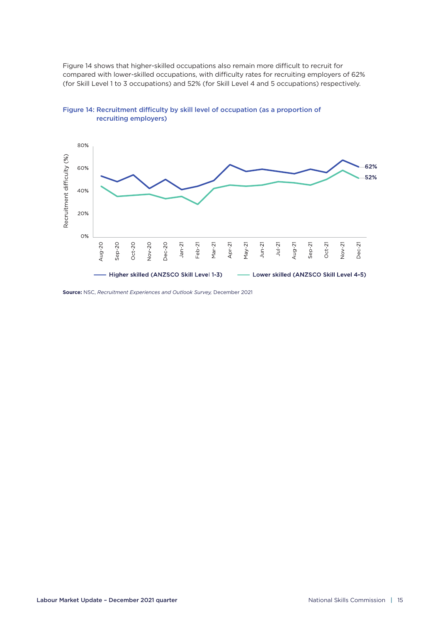Figure 14 shows that higher-skilled occupations also remain more difficult to recruit for compared with lower-skilled occupations, with difficulty rates for recruiting employers of 62% (for Skill Level 1 to 3 occupations) and 52% (for Skill Level 4 and 5 occupations) respectively.



Figure 14: Recruitment difficulty by skill level of occupation (as a proportion of recruiting employers)

**Source:** NSC, *Recruitment Experiences and Outlook Survey,* December 2021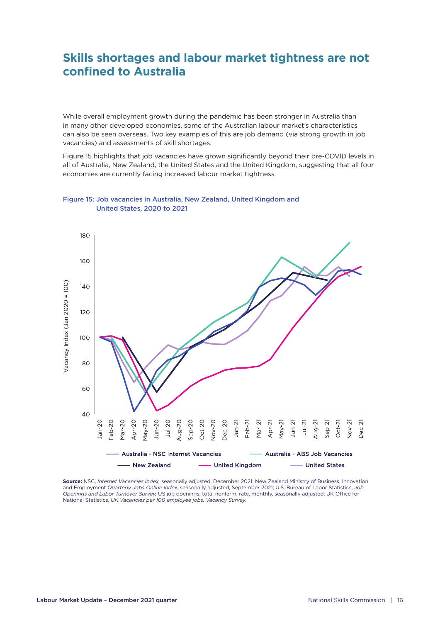# **Skills shortages and labour market tightness are not confined to Australia**

While overall employment growth during the pandemic has been stronger in Australia than in many other developed economies, some of the Australian labour market's characteristics can also be seen overseas. Two key examples of this are job demand (via strong growth in job vacancies) and assessments of skill shortages.

Figure 15 highlights that job vacancies have grown significantly beyond their pre-COVID levels in all of Australia, New Zealand, the United States and the United Kingdom, suggesting that all four economies are currently facing increased labour market tightness.



Figure 15: Job vacancies in Australia, New Zealand, United Kingdom and United States, 2020 to 2021

**Source:** NSC, *Internet Vacancies Index,* seasonally adjusted, December 2021; New Zealand Ministry of Business, Innovation and Employment *Quarterly Jobs Online Index*, seasonally adjusted, September 2021; U.S. Bureau of Labor Statistics, *Job Openings and Labor Turnover Survey,* US job openings: total nonfarm, rate, monthly, seasonally adjusted; UK Office for National Statistics, *UK Vacancies per 100 employee jobs, Vacancy Survey.*